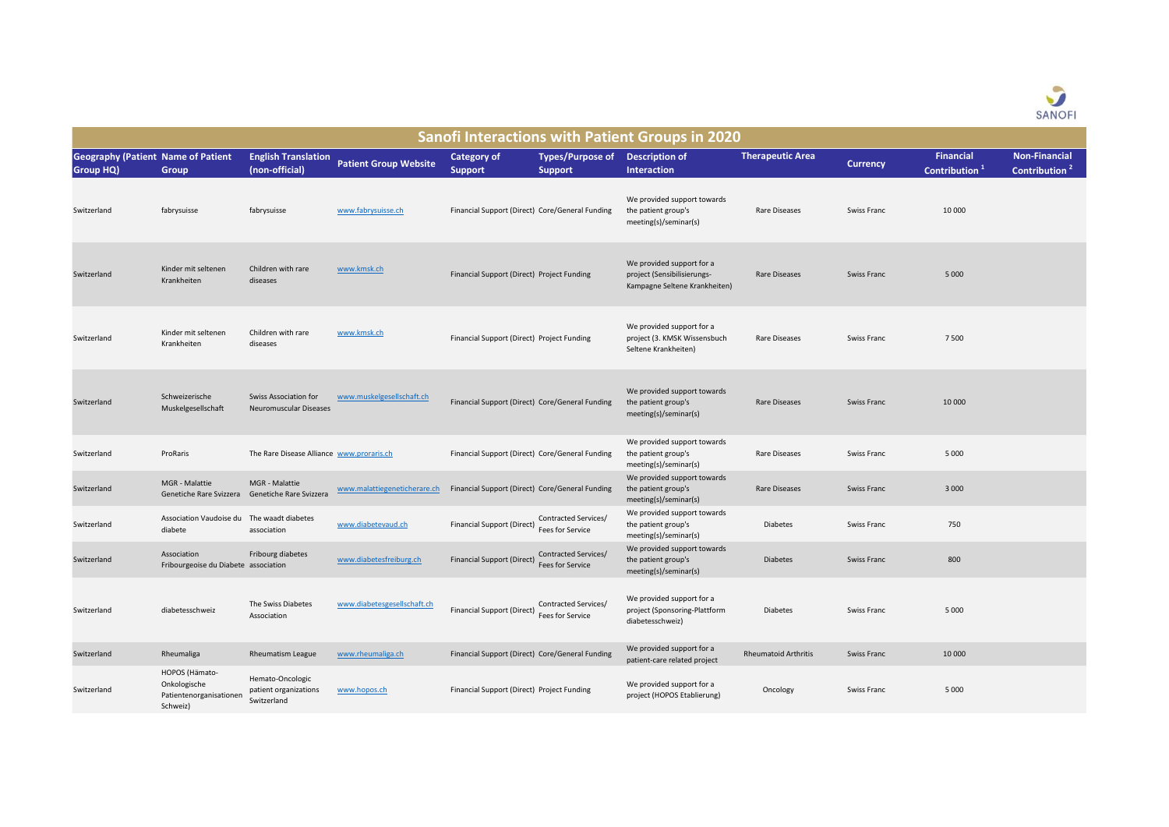

| <b>Sanofi Interactions with Patient Groups in 2020</b>        |                                                                       |                                                                   |                              |                                            |                                                   |                                                                                           |                             |                 |                                               |                                                   |  |
|---------------------------------------------------------------|-----------------------------------------------------------------------|-------------------------------------------------------------------|------------------------------|--------------------------------------------|---------------------------------------------------|-------------------------------------------------------------------------------------------|-----------------------------|-----------------|-----------------------------------------------|---------------------------------------------------|--|
| <b>Geography (Patient Name of Patient</b><br><b>Group HQ)</b> | Group                                                                 | <b>English Translation</b><br>(non-official)                      | <b>Patient Group Website</b> | <b>Category of</b><br><b>Support</b>       | Types/Purpose of Description of<br><b>Support</b> | <b>Interaction</b>                                                                        | <b>Therapeutic Area</b>     | <b>Currency</b> | <b>Financial</b><br>Contribution <sup>1</sup> | <b>Non-Financial</b><br>Contribution <sup>2</sup> |  |
| Switzerland                                                   | fabrysuisse                                                           | fabrysuisse                                                       | www.fabrysuisse.ch           |                                            | Financial Support (Direct) Core/General Funding   | We provided support towards<br>the patient group's<br>meeting(s)/seminar(s)               | <b>Rare Diseases</b>        | Swiss Franc     | 10 000                                        |                                                   |  |
| Switzerland                                                   | Kinder mit seltenen<br>Krankheiten                                    | Children with rare<br>diseases                                    | www.kmsk.ch                  | Financial Support (Direct) Project Funding |                                                   | We provided support for a<br>project (Sensibilisierungs-<br>Kampagne Seltene Krankheiten) | Rare Diseases               | Swiss Franc     | 5 0 0 0                                       |                                                   |  |
| Switzerland                                                   | Kinder mit seltenen<br>Krankheiten                                    | Children with rare<br>diseases                                    | www.kmsk.ch                  | Financial Support (Direct) Project Funding |                                                   | We provided support for a<br>project (3. KMSK Wissensbuch<br>Seltene Krankheiten)         | <b>Rare Diseases</b>        | Swiss Franc     | 7 5 0 0                                       |                                                   |  |
| Switzerland                                                   | Schweizerische<br>Muskelgesellschaft                                  | Swiss Association for<br>Neuromuscular Diseases                   | www.muskelgesellschaft.ch    |                                            | Financial Support (Direct) Core/General Funding   | We provided support towards<br>the patient group's<br>meeting(s)/seminar(s)               | <b>Rare Diseases</b>        | Swiss Franc     | 10 000                                        |                                                   |  |
| Switzerland                                                   | ProRaris                                                              | The Rare Disease Alliance www.proraris.ch                         |                              |                                            | Financial Support (Direct) Core/General Funding   | We provided support towards<br>the patient group's<br>meeting(s)/seminar(s)               | Rare Diseases               | Swiss Franc     | 5 0 0 0                                       |                                                   |  |
| Switzerland                                                   | MGR - Malattie                                                        | MGR - Malattie<br>Genetiche Rare Svizzera Genetiche Rare Svizzera | www.malattiegeneticherare.ch |                                            | Financial Support (Direct) Core/General Funding   | We provided support towards<br>the patient group's<br>meeting(s)/seminar(s)               | Rare Diseases               | Swiss Franc     | 3 0 0 0                                       |                                                   |  |
| Switzerland                                                   | Association Vaudoise du The waadt diabetes<br>diabete                 | association                                                       | www.diabetevaud.ch           | <b>Financial Support (Direct)</b>          | Contracted Services/<br><b>Fees for Service</b>   | We provided support towards<br>the patient group's<br>meeting(s)/seminar(s)               | <b>Diabetes</b>             | Swiss Franc     | 750                                           |                                                   |  |
| Switzerland                                                   | Association<br>Fribourgeoise du Diabete association                   | Fribourg diabetes                                                 | www.diabetesfreiburg.ch      | <b>Financial Support (Direct)</b>          | Contracted Services/<br><b>Fees for Service</b>   | We provided support towards<br>the patient group's<br>meeting(s)/seminar(s)               | <b>Diabetes</b>             | Swiss Franc     | 800                                           |                                                   |  |
| Switzerland                                                   | diabetesschweiz                                                       | The Swiss Diabetes<br>Association                                 | www.diabetesgesellschaft.ch  | <b>Financial Support (Direct)</b>          | Contracted Services/<br>Fees for Service          | We provided support for a<br>project (Sponsoring-Plattform<br>diabetesschweiz)            | <b>Diabetes</b>             | Swiss Franc     | 5 0 0 0                                       |                                                   |  |
| Switzerland                                                   | Rheumaliga                                                            | <b>Rheumatism League</b>                                          | www.rheumaliga.ch            |                                            | Financial Support (Direct) Core/General Funding   | We provided support for a<br>patient-care related project                                 | <b>Rheumatoid Arthritis</b> | Swiss Franc     | 10 000                                        |                                                   |  |
| Switzerland                                                   | HOPOS (Hämato-<br>Onkologische<br>Patientenorganisationen<br>Schweiz) | Hemato-Oncologic<br>patient organizations<br>Switzerland          | www.hopos.ch                 | Financial Support (Direct) Project Funding |                                                   | We provided support for a<br>project (HOPOS Etablierung)                                  | Oncology                    | Swiss Franc     | 5 0 0 0                                       |                                                   |  |